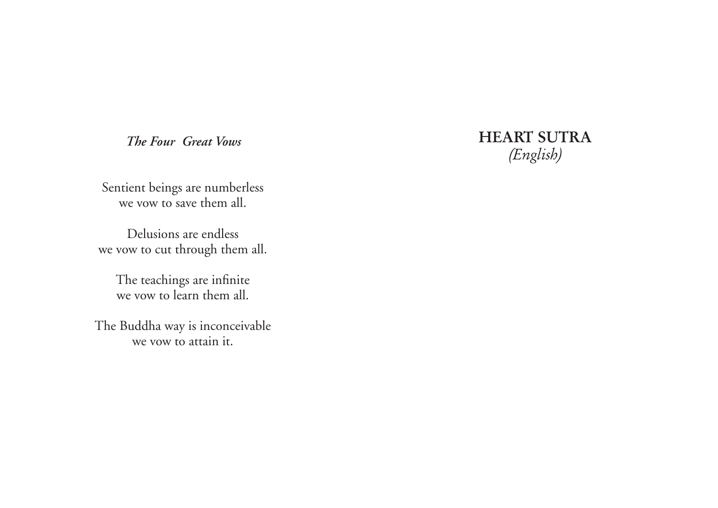*The Four Great Vows*

Sentient beings are numberless we vow to save them all.

Delusions are endless we vow to cut through them all.

The teachings are infinite we vow to learn them all.

The Buddha way is inconceivable we vow to attain it.

## HEART SUTRA (English)